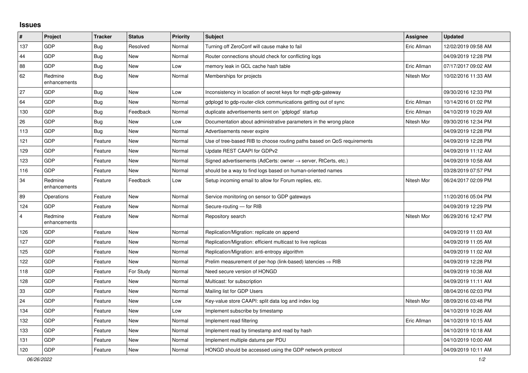## **Issues**

| $\pmb{\#}$              | Project                 | <b>Tracker</b> | <b>Status</b> | <b>Priority</b> | <b>Subject</b>                                                             | Assignee    | <b>Updated</b>      |
|-------------------------|-------------------------|----------------|---------------|-----------------|----------------------------------------------------------------------------|-------------|---------------------|
| 137                     | <b>GDP</b>              | <b>Bug</b>     | Resolved      | Normal          | Turning off ZeroConf will cause make to fail                               | Eric Allman | 12/02/2019 09:58 AM |
| 44                      | GDP                     | <b>Bug</b>     | <b>New</b>    | Normal          | Router connections should check for conflicting logs                       |             | 04/09/2019 12:28 PM |
| 88                      | <b>GDP</b>              | <b>Bug</b>     | <b>New</b>    | Low             | memory leak in GCL cache hash table                                        | Eric Allman | 07/17/2017 09:02 AM |
| 62                      | Redmine<br>enhancements | Bug            | New           | Normal          | Memberships for projects                                                   | Nitesh Mor  | 10/02/2016 11:33 AM |
| 27                      | <b>GDP</b>              | <b>Bug</b>     | <b>New</b>    | Low             | Inconsistency in location of secret keys for mqtt-gdp-gateway              |             | 09/30/2016 12:33 PM |
| 64                      | <b>GDP</b>              | Bug            | New           | Normal          | gdplogd to gdp-router-click communications getting out of sync             | Eric Allman | 10/14/2016 01:02 PM |
| 130                     | <b>GDP</b>              | Bug            | Feedback      | Normal          | duplicate advertisements sent on `gdplogd` startup                         | Eric Allman | 04/10/2019 10:29 AM |
| 26                      | <b>GDP</b>              | <b>Bug</b>     | <b>New</b>    | Low             | Documentation about administrative parameters in the wrong place           | Nitesh Mor  | 09/30/2016 12:34 PM |
| 113                     | <b>GDP</b>              | Bug            | <b>New</b>    | Normal          | Advertisements never expire                                                |             | 04/09/2019 12:28 PM |
| 121                     | <b>GDP</b>              | Feature        | <b>New</b>    | Normal          | Use of tree-based RIB to choose routing paths based on QoS requirements    |             | 04/09/2019 12:28 PM |
| 129                     | <b>GDP</b>              | Feature        | <b>New</b>    | Normal          | Update REST CAAPI for GDPv2                                                |             | 04/09/2019 11:12 AM |
| 123                     | <b>GDP</b>              | Feature        | <b>New</b>    | Normal          | Signed advertisements (AdCerts: owner $\rightarrow$ server, RtCerts, etc.) |             | 04/09/2019 10:58 AM |
| 116                     | GDP                     | Feature        | <b>New</b>    | Normal          | should be a way to find logs based on human-oriented names                 |             | 03/28/2019 07:57 PM |
| 34                      | Redmine<br>enhancements | Feature        | Feedback      | Low             | Setup incoming email to allow for Forum replies, etc.                      | Nitesh Mor  | 06/24/2017 02:09 PM |
| 89                      | Operations              | Feature        | <b>New</b>    | Normal          | Service monitoring on sensor to GDP gateways                               |             | 11/20/2016 05:04 PM |
| 124                     | <b>GDP</b>              | Feature        | <b>New</b>    | Normal          | Secure-routing - for RIB                                                   |             | 04/09/2019 12:29 PM |
| $\overline{\mathbf{4}}$ | Redmine<br>enhancements | Feature        | <b>New</b>    | Normal          | Repository search                                                          | Nitesh Mor  | 06/29/2016 12:47 PM |
| 126                     | <b>GDP</b>              | Feature        | <b>New</b>    | Normal          | Replication/Migration: replicate on append                                 |             | 04/09/2019 11:03 AM |
| 127                     | <b>GDP</b>              | Feature        | <b>New</b>    | Normal          | Replication/Migration: efficient multicast to live replicas                |             | 04/09/2019 11:05 AM |
| 125                     | <b>GDP</b>              | Feature        | New           | Normal          | Replication/Migration: anti-entropy algorithm                              |             | 04/09/2019 11:02 AM |
| 122                     | <b>GDP</b>              | Feature        | <b>New</b>    | Normal          | Prelim measurement of per-hop (link-based) latencies $\Rightarrow$ RIB     |             | 04/09/2019 12:28 PM |
| 118                     | <b>GDP</b>              | Feature        | For Study     | Normal          | Need secure version of HONGD                                               |             | 04/09/2019 10:38 AM |
| 128                     | <b>GDP</b>              | Feature        | <b>New</b>    | Normal          | Multicast: for subscription                                                |             | 04/09/2019 11:11 AM |
| 33                      | <b>GDP</b>              | Feature        | <b>New</b>    | Normal          | Mailing list for GDP Users                                                 |             | 08/04/2016 02:03 PM |
| 24                      | <b>GDP</b>              | Feature        | <b>New</b>    | Low             | Key-value store CAAPI: split data log and index log                        | Nitesh Mor  | 08/09/2016 03:48 PM |
| 134                     | <b>GDP</b>              | Feature        | <b>New</b>    | Low             | Implement subscribe by timestamp                                           |             | 04/10/2019 10:26 AM |
| 132                     | <b>GDP</b>              | Feature        | <b>New</b>    | Normal          | Implement read filtering                                                   | Eric Allman | 04/10/2019 10:15 AM |
| 133                     | <b>GDP</b>              | Feature        | New           | Normal          | Implement read by timestamp and read by hash                               |             | 04/10/2019 10:18 AM |
| 131                     | GDP                     | Feature        | <b>New</b>    | Normal          | Implement multiple datums per PDU                                          |             | 04/10/2019 10:00 AM |
| 120                     | <b>GDP</b>              | Feature        | New           | Normal          | HONGD should be accessed using the GDP network protocol                    |             | 04/09/2019 10:11 AM |